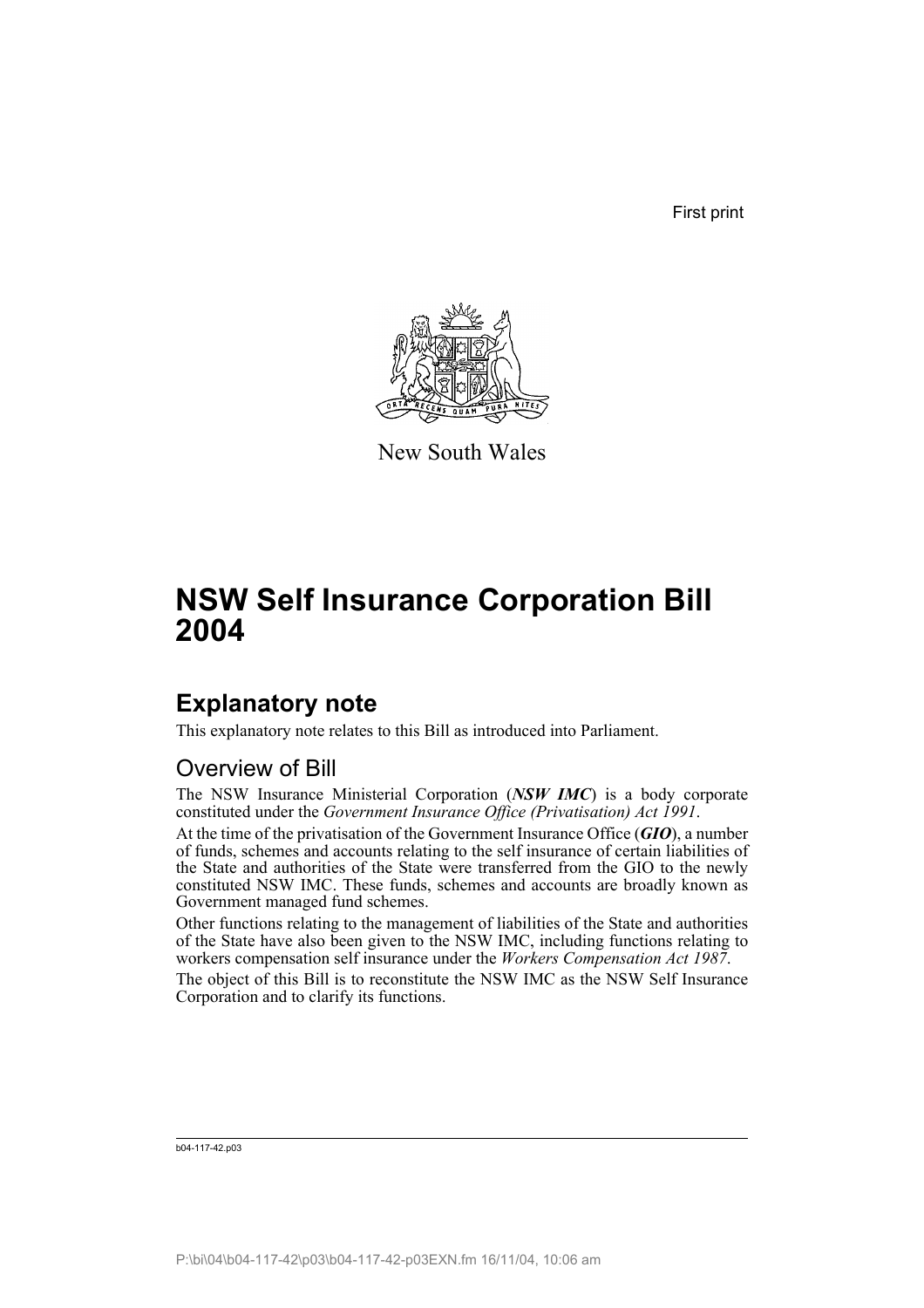First print



New South Wales

# **NSW Self Insurance Corporation Bill 2004**

# **Explanatory note**

This explanatory note relates to this Bill as introduced into Parliament.

# Overview of Bill

The NSW Insurance Ministerial Corporation (*NSW IMC*) is a body corporate constituted under the *Government Insurance Office (Privatisation) Act 1991*.

At the time of the privatisation of the Government Insurance Office (*GIO*), a number of funds, schemes and accounts relating to the self insurance of certain liabilities of the State and authorities of the State were transferred from the GIO to the newly constituted NSW IMC. These funds, schemes and accounts are broadly known as Government managed fund schemes.

Other functions relating to the management of liabilities of the State and authorities of the State have also been given to the NSW IMC, including functions relating to workers compensation self insurance under the *Workers Compensation Act 1987*.

The object of this Bill is to reconstitute the NSW IMC as the NSW Self Insurance Corporation and to clarify its functions.

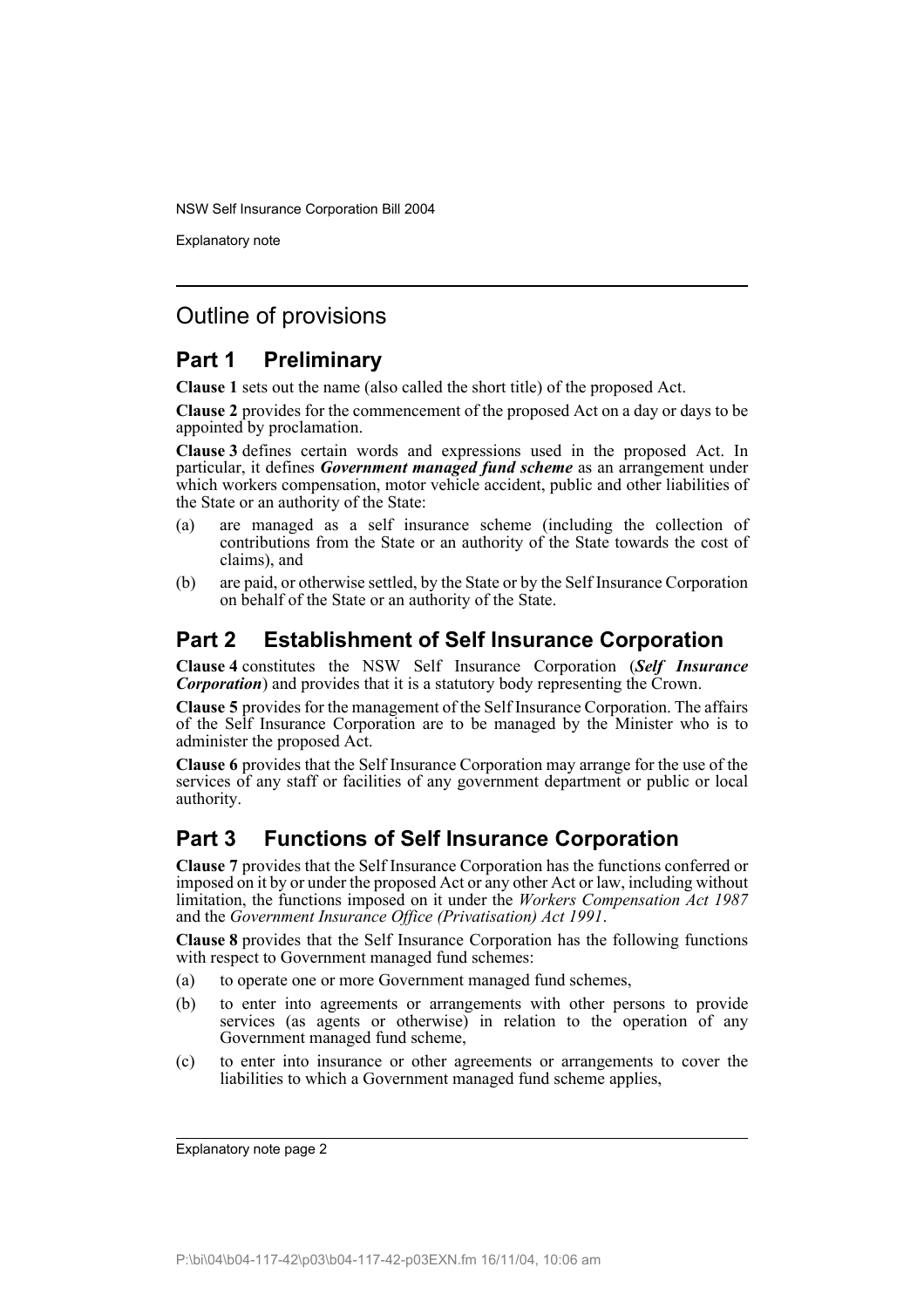Explanatory note

## Outline of provisions

## **Part 1 Preliminary**

**Clause 1** sets out the name (also called the short title) of the proposed Act.

**Clause 2** provides for the commencement of the proposed Act on a day or days to be appointed by proclamation.

**Clause 3** defines certain words and expressions used in the proposed Act. In particular, it defines *Government managed fund scheme* as an arrangement under which workers compensation, motor vehicle accident, public and other liabilities of the State or an authority of the State:

- (a) are managed as a self insurance scheme (including the collection of contributions from the State or an authority of the State towards the cost of claims), and
- (b) are paid, or otherwise settled, by the State or by the Self Insurance Corporation on behalf of the State or an authority of the State.

## **Part 2 Establishment of Self Insurance Corporation**

**Clause 4** constitutes the NSW Self Insurance Corporation (*Self Insurance Corporation*) and provides that it is a statutory body representing the Crown.

**Clause 5** provides for the management of the Self Insurance Corporation. The affairs of the Self Insurance Corporation are to be managed by the Minister who is to administer the proposed Act.

**Clause 6** provides that the Self Insurance Corporation may arrange for the use of the services of any staff or facilities of any government department or public or local authority.

## **Part 3 Functions of Self Insurance Corporation**

**Clause 7** provides that the Self Insurance Corporation has the functions conferred or imposed on it by or under the proposed Act or any other Act or law, including without limitation, the functions imposed on it under the *Workers Compensation Act 1987* and the *Government Insurance Office (Privatisation) Act 1991*.

**Clause 8** provides that the Self Insurance Corporation has the following functions with respect to Government managed fund schemes:

- (a) to operate one or more Government managed fund schemes,
- (b) to enter into agreements or arrangements with other persons to provide services (as agents or otherwise) in relation to the operation of any Government managed fund scheme,
- (c) to enter into insurance or other agreements or arrangements to cover the liabilities to which a Government managed fund scheme applies,

Explanatory note page 2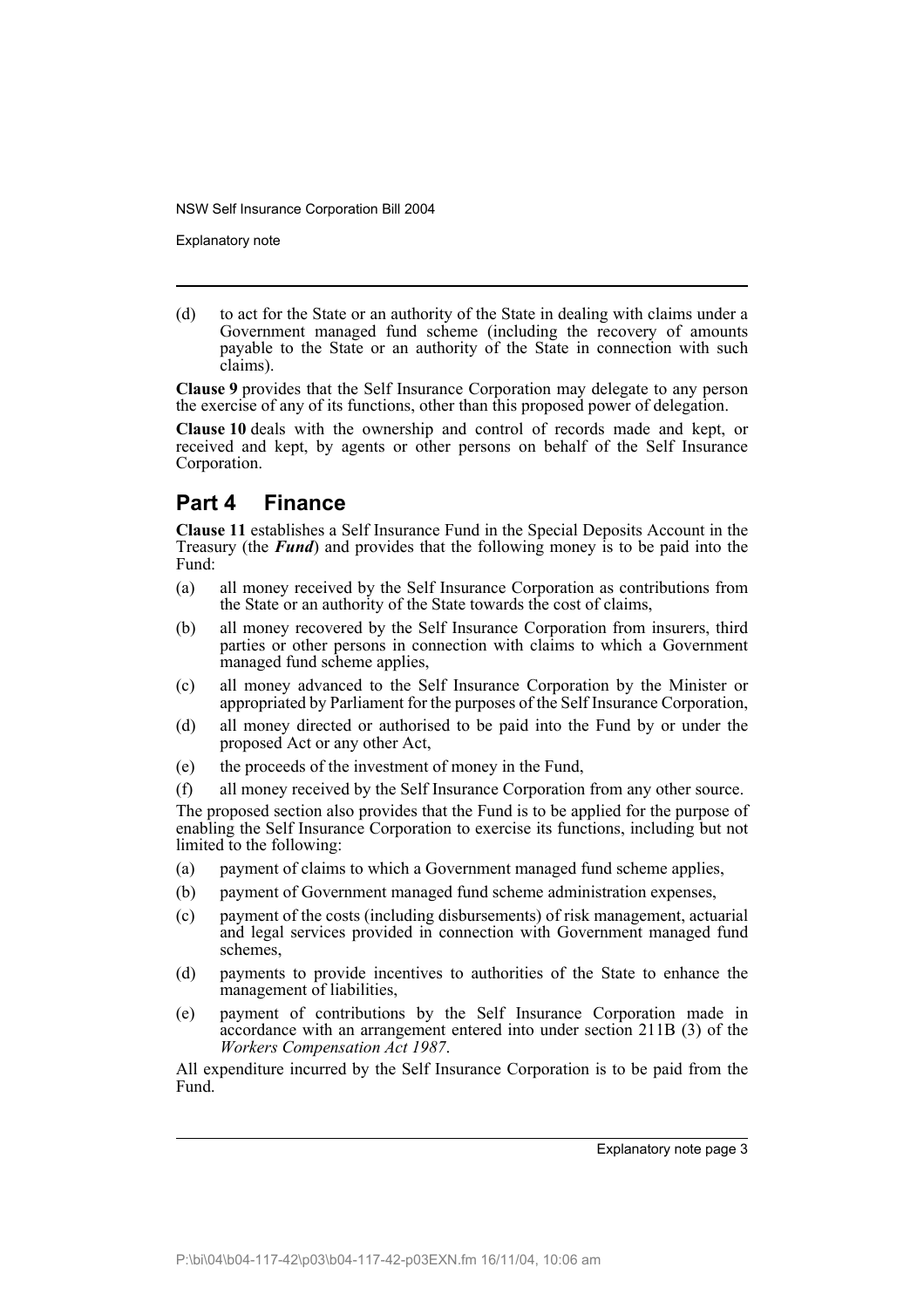Explanatory note

(d) to act for the State or an authority of the State in dealing with claims under a Government managed fund scheme (including the recovery of amounts payable to the State or an authority of the State in connection with such claims).

**Clause 9** provides that the Self Insurance Corporation may delegate to any person the exercise of any of its functions, other than this proposed power of delegation.

**Clause 10** deals with the ownership and control of records made and kept, or received and kept, by agents or other persons on behalf of the Self Insurance Corporation.

## **Part 4 Finance**

**Clause 11** establishes a Self Insurance Fund in the Special Deposits Account in the Treasury (the *Fund*) and provides that the following money is to be paid into the Fund:

- (a) all money received by the Self Insurance Corporation as contributions from the State or an authority of the State towards the cost of claims,
- (b) all money recovered by the Self Insurance Corporation from insurers, third parties or other persons in connection with claims to which a Government managed fund scheme applies,
- (c) all money advanced to the Self Insurance Corporation by the Minister or appropriated by Parliament for the purposes of the Self Insurance Corporation,
- (d) all money directed or authorised to be paid into the Fund by or under the proposed Act or any other Act,
- (e) the proceeds of the investment of money in the Fund,
- (f) all money received by the Self Insurance Corporation from any other source.

The proposed section also provides that the Fund is to be applied for the purpose of enabling the Self Insurance Corporation to exercise its functions, including but not limited to the following:

- (a) payment of claims to which a Government managed fund scheme applies,
- (b) payment of Government managed fund scheme administration expenses,
- (c) payment of the costs (including disbursements) of risk management, actuarial and legal services provided in connection with Government managed fund schemes,
- (d) payments to provide incentives to authorities of the State to enhance the management of liabilities,
- (e) payment of contributions by the Self Insurance Corporation made in accordance with an arrangement entered into under section 211B (3) of the *Workers Compensation Act 1987*.

All expenditure incurred by the Self Insurance Corporation is to be paid from the Fund.

Explanatory note page 3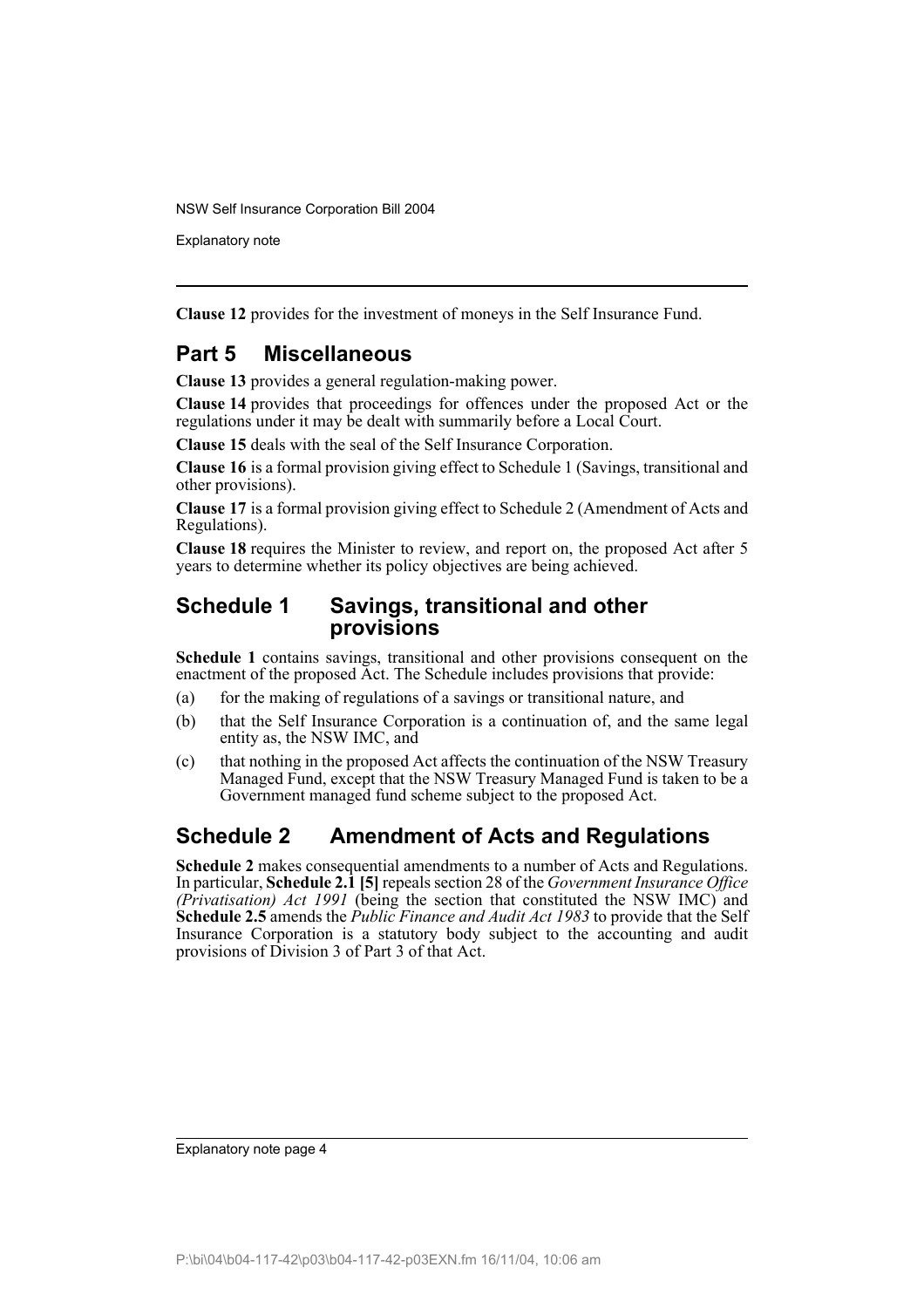Explanatory note

**Clause 12** provides for the investment of moneys in the Self Insurance Fund.

### **Part 5 Miscellaneous**

**Clause 13** provides a general regulation-making power.

**Clause 14** provides that proceedings for offences under the proposed Act or the regulations under it may be dealt with summarily before a Local Court.

**Clause 15** deals with the seal of the Self Insurance Corporation.

**Clause 16** is a formal provision giving effect to Schedule 1 (Savings, transitional and other provisions).

**Clause 17** is a formal provision giving effect to Schedule 2 (Amendment of Acts and Regulations).

**Clause 18** requires the Minister to review, and report on, the proposed Act after 5 years to determine whether its policy objectives are being achieved.

### **Schedule 1 Savings, transitional and other provisions**

**Schedule 1** contains savings, transitional and other provisions consequent on the enactment of the proposed Act. The Schedule includes provisions that provide:

- (a) for the making of regulations of a savings or transitional nature, and
- (b) that the Self Insurance Corporation is a continuation of, and the same legal entity as, the NSW IMC, and
- (c) that nothing in the proposed Act affects the continuation of the NSW Treasury Managed Fund, except that the NSW Treasury Managed Fund is taken to be a Government managed fund scheme subject to the proposed Act.

# **Schedule 2 Amendment of Acts and Regulations**

**Schedule 2** makes consequential amendments to a number of Acts and Regulations. In particular, **Schedule 2.1 [5]** repeals section 28 of the *Government Insurance Office (Privatisation) Act 1991* (being the section that constituted the NSW IMC) and **Schedule 2.5** amends the *Public Finance and Audit Act 1983* to provide that the Self Insurance Corporation is a statutory body subject to the accounting and audit provisions of Division 3 of Part 3 of that Act.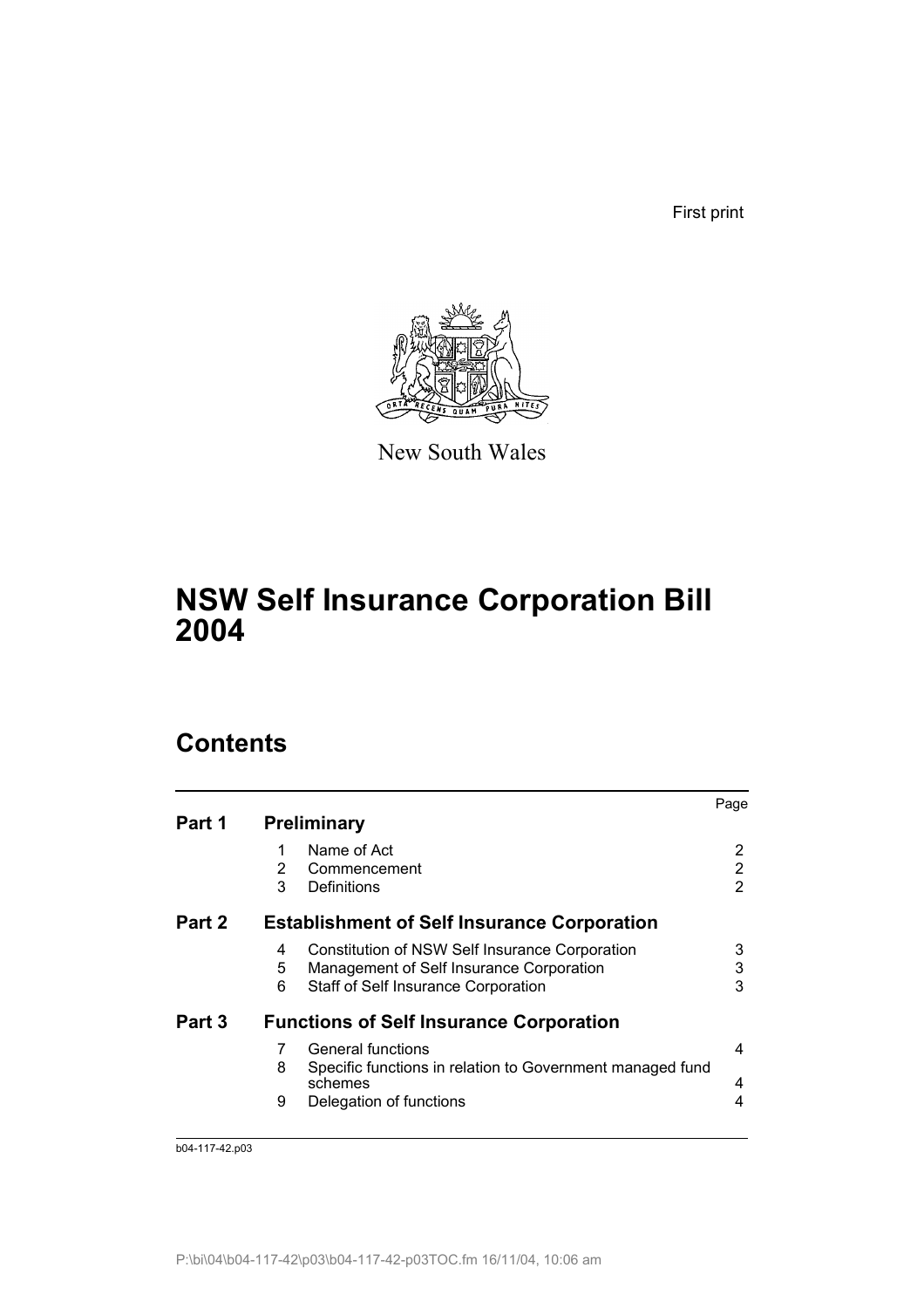First print



New South Wales

# **NSW Self Insurance Corporation Bill 2004**

# **Contents**

|        |   |                                                                      | Page |
|--------|---|----------------------------------------------------------------------|------|
| Part 1 |   | <b>Preliminary</b>                                                   |      |
|        | 1 | Name of Act                                                          | 2    |
|        | 2 | Commencement                                                         | 2    |
|        | 3 | Definitions                                                          | 2    |
| Part 2 |   | <b>Establishment of Self Insurance Corporation</b>                   |      |
|        | 4 | Constitution of NSW Self Insurance Corporation                       | 3    |
|        | 5 | Management of Self Insurance Corporation                             | 3    |
|        | 6 | Staff of Self Insurance Corporation                                  | 3    |
| Part 3 |   | <b>Functions of Self Insurance Corporation</b>                       |      |
|        | 7 | General functions                                                    | 4    |
|        | 8 | Specific functions in relation to Government managed fund<br>schemes | 4    |
|        | 9 | Delegation of functions                                              | 4    |
|        |   |                                                                      |      |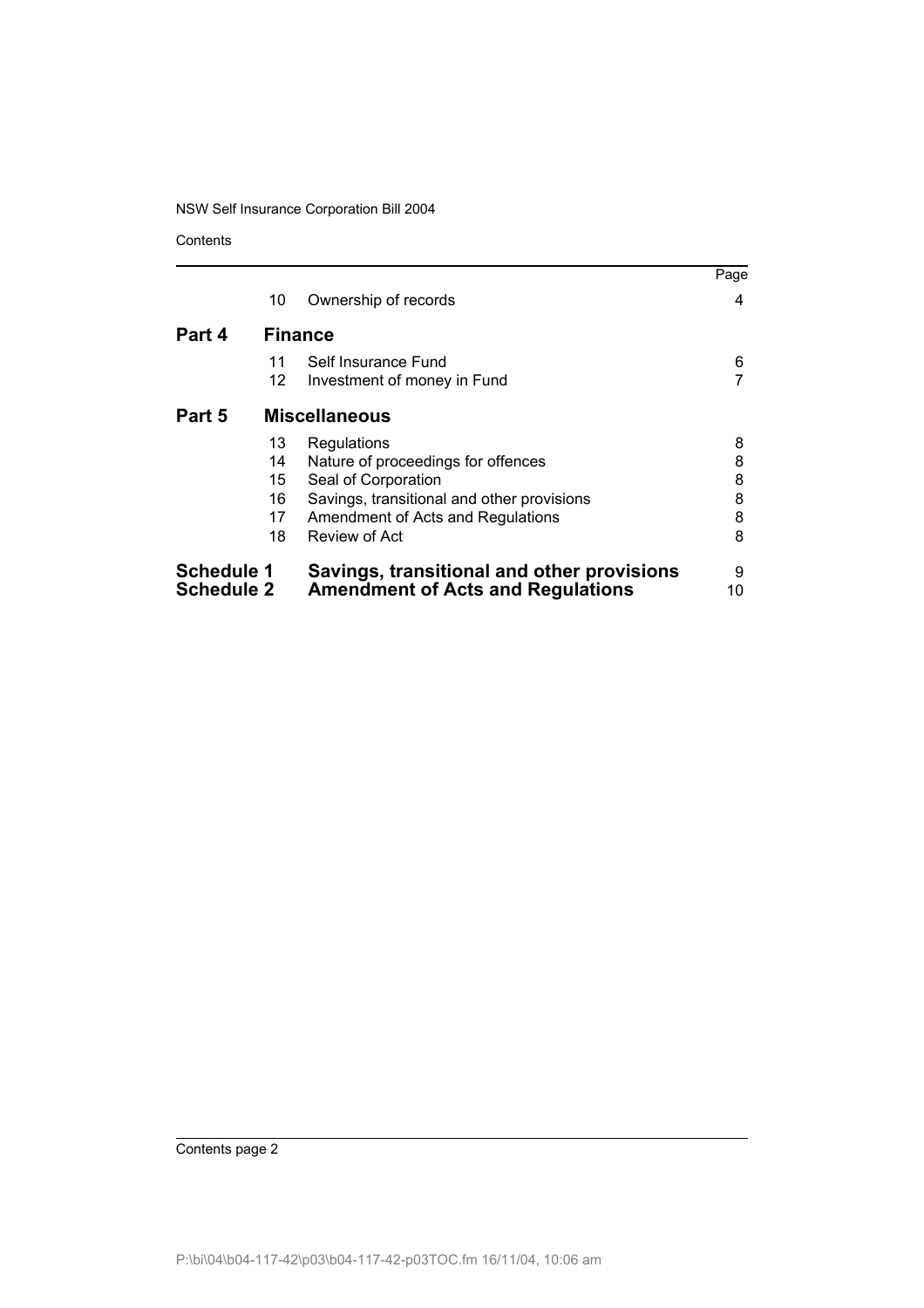Contents

|                   |                |                                            | Page |
|-------------------|----------------|--------------------------------------------|------|
|                   | 10             | Ownership of records                       | 4    |
| Part 4            | <b>Finance</b> |                                            |      |
|                   | 11             | Self Insurance Fund                        | 6    |
|                   | 12             | Investment of money in Fund                |      |
| Part 5            |                | <b>Miscellaneous</b>                       |      |
|                   | 13             | Regulations                                | 8    |
|                   | 14             | Nature of proceedings for offences         | 8    |
|                   | 15             | Seal of Corporation                        | 8    |
|                   | 16             | Savings, transitional and other provisions | 8    |
|                   | 17             | Amendment of Acts and Regulations          | 8    |
|                   | 18             | Review of Act                              | 8    |
| <b>Schedule 1</b> |                | Savings, transitional and other provisions | 9    |
| <b>Schedule 2</b> |                | <b>Amendment of Acts and Regulations</b>   | 10   |

Contents page 2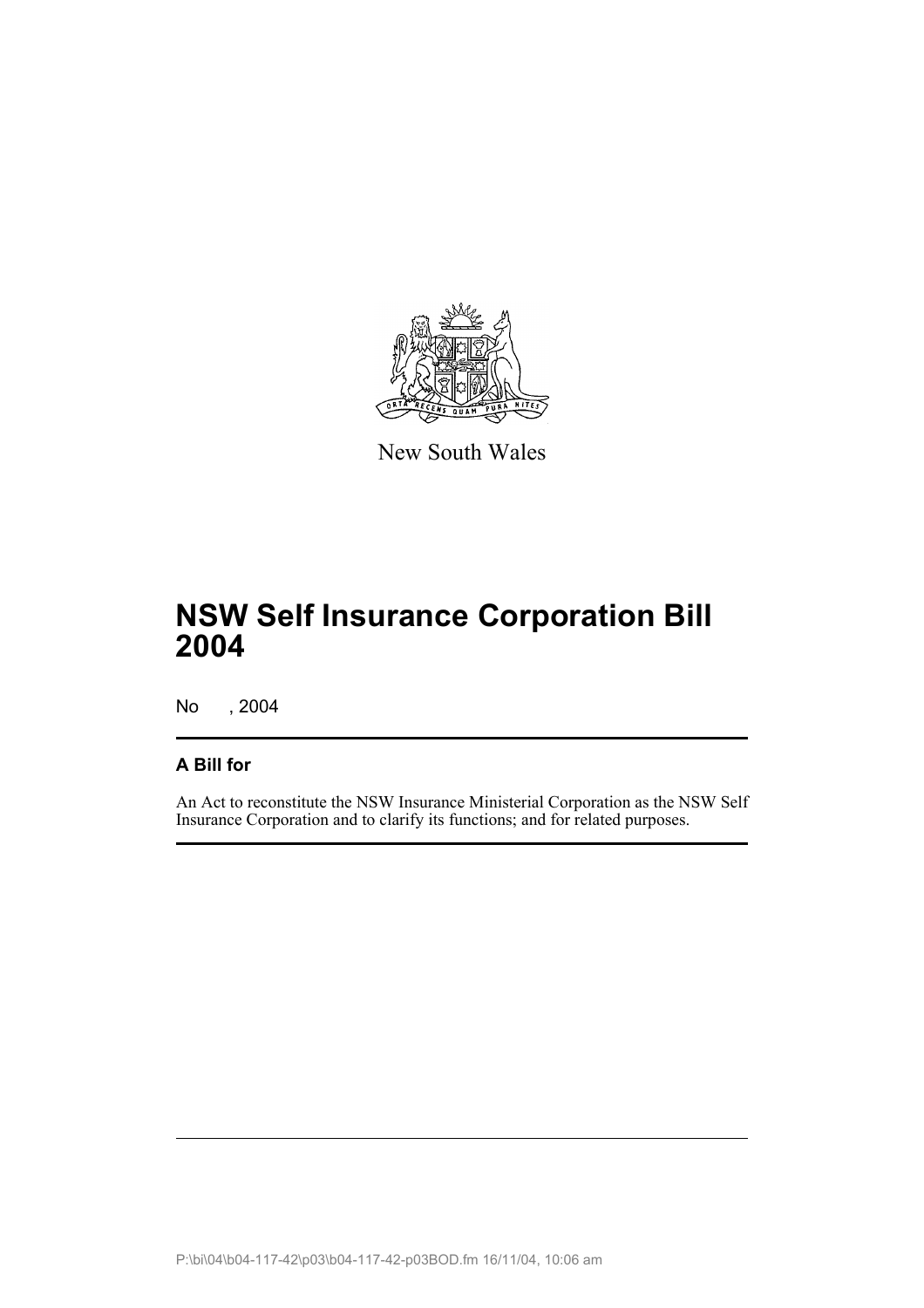

New South Wales

# **NSW Self Insurance Corporation Bill 2004**

No , 2004

## **A Bill for**

An Act to reconstitute the NSW Insurance Ministerial Corporation as the NSW Self Insurance Corporation and to clarify its functions; and for related purposes.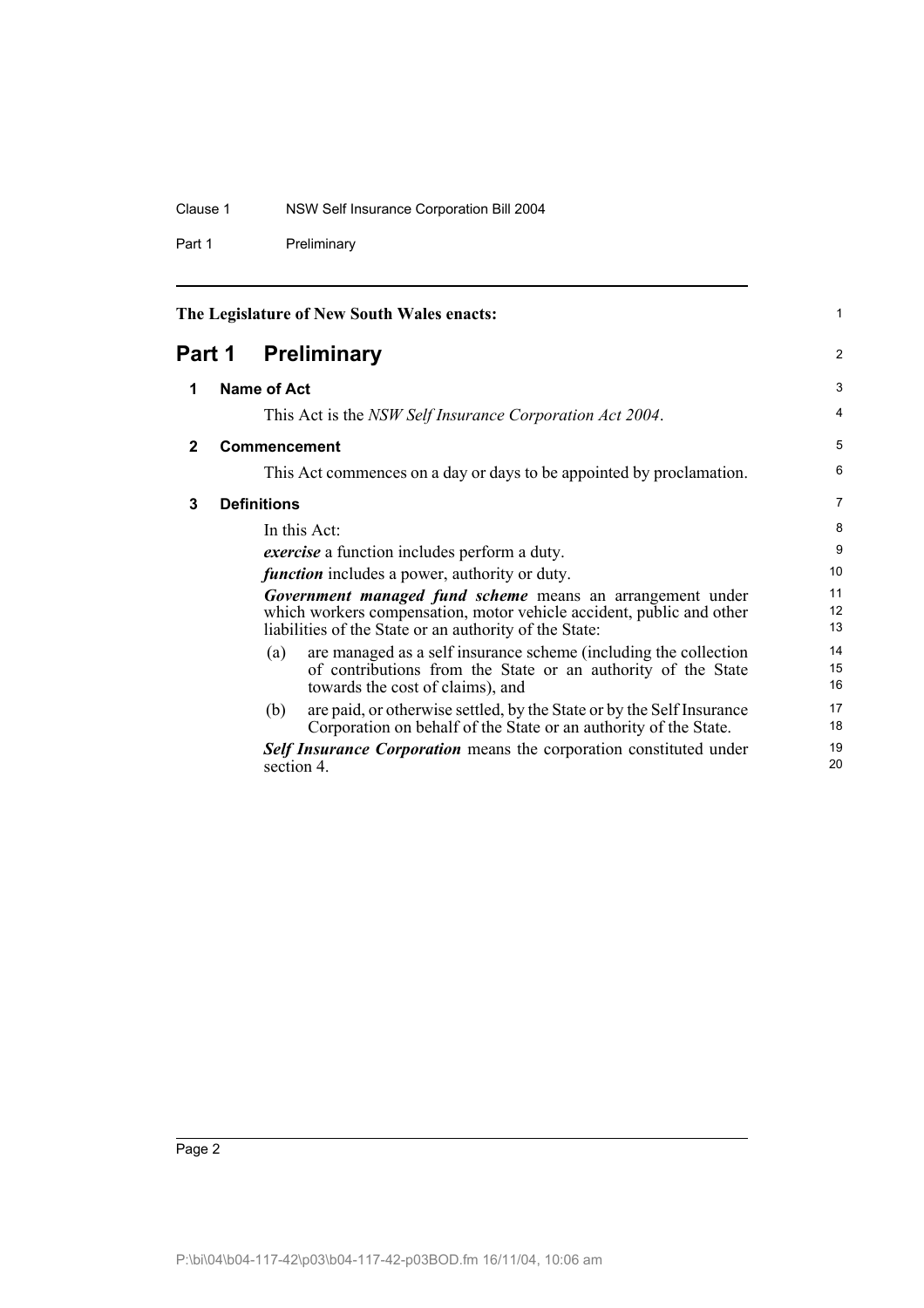#### Clause 1 NSW Self Insurance Corporation Bill 2004

Part 1 Preliminary

|              | The Legislature of New South Wales enacts:                                                                                                                                                  | $\mathbf{1}$   |
|--------------|---------------------------------------------------------------------------------------------------------------------------------------------------------------------------------------------|----------------|
|              | <b>Part 1 Preliminary</b>                                                                                                                                                                   | 2              |
| 1            | Name of Act                                                                                                                                                                                 | 3              |
|              | This Act is the <i>NSW Self Insurance Corporation Act 2004</i> .                                                                                                                            | 4              |
| $\mathbf{2}$ | <b>Commencement</b>                                                                                                                                                                         | 5              |
|              | This Act commences on a day or days to be appointed by proclamation.                                                                                                                        | 6              |
| 3            | <b>Definitions</b>                                                                                                                                                                          | $\overline{7}$ |
|              | In this Act:                                                                                                                                                                                | 8              |
|              | <i>exercise</i> a function includes perform a duty.                                                                                                                                         | 9              |
|              | <i>function</i> includes a power, authority or duty.                                                                                                                                        | 10             |
|              | Government managed fund scheme means an arrangement under<br>which workers compensation, motor vehicle accident, public and other<br>liabilities of the State or an authority of the State: | 11<br>12<br>13 |
|              | are managed as a self insurance scheme (including the collection<br>(a)<br>of contributions from the State or an authority of the State<br>towards the cost of claims), and                 | 14<br>15<br>16 |
|              | are paid, or otherwise settled, by the State or by the Self Insurance<br>(b)<br>Corporation on behalf of the State or an authority of the State.                                            | 17<br>18       |
|              | <b>Self Insurance Corporation</b> means the corporation constituted under<br>section 4.                                                                                                     | 19<br>20       |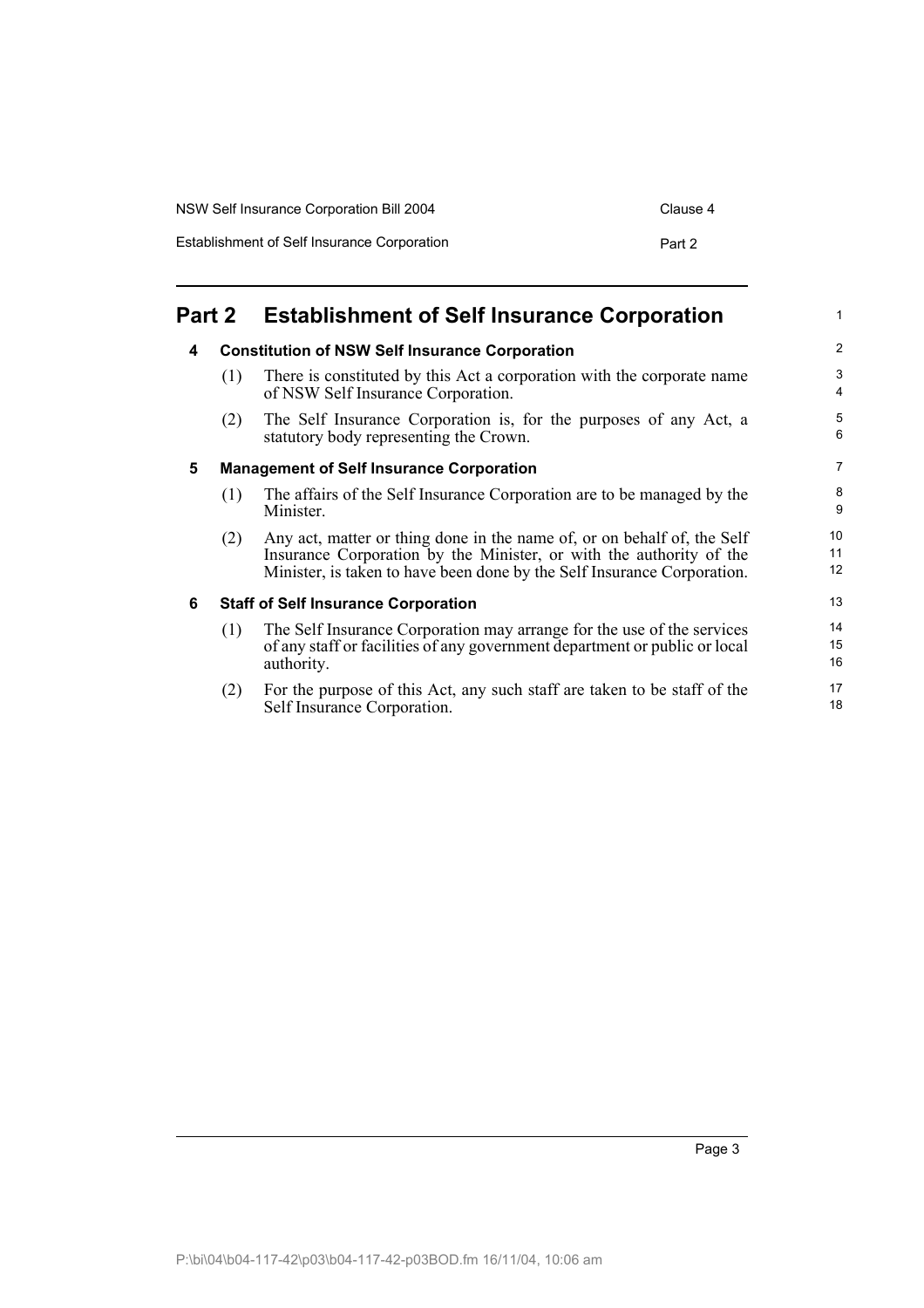| NSW Self Insurance Corporation Bill 2004    | Clause 4 |
|---------------------------------------------|----------|
| Establishment of Self Insurance Corporation | Part 2   |

## **Part 2 Establishment of Self Insurance Corporation**

#### **4 Constitution of NSW Self Insurance Corporation**

- (1) There is constituted by this Act a corporation with the corporate name of NSW Self Insurance Corporation.
- (2) The Self Insurance Corporation is, for the purposes of any Act, a statutory body representing the Crown.

#### **5 Management of Self Insurance Corporation**

- (1) The affairs of the Self Insurance Corporation are to be managed by the Minister.
- (2) Any act, matter or thing done in the name of, or on behalf of, the Self Insurance Corporation by the Minister, or with the authority of the Minister, is taken to have been done by the Self Insurance Corporation.

#### **6 Staff of Self Insurance Corporation**

- (1) The Self Insurance Corporation may arrange for the use of the services of any staff or facilities of any government department or public or local authority.
- (2) For the purpose of this Act, any such staff are taken to be staff of the Self Insurance Corporation.

1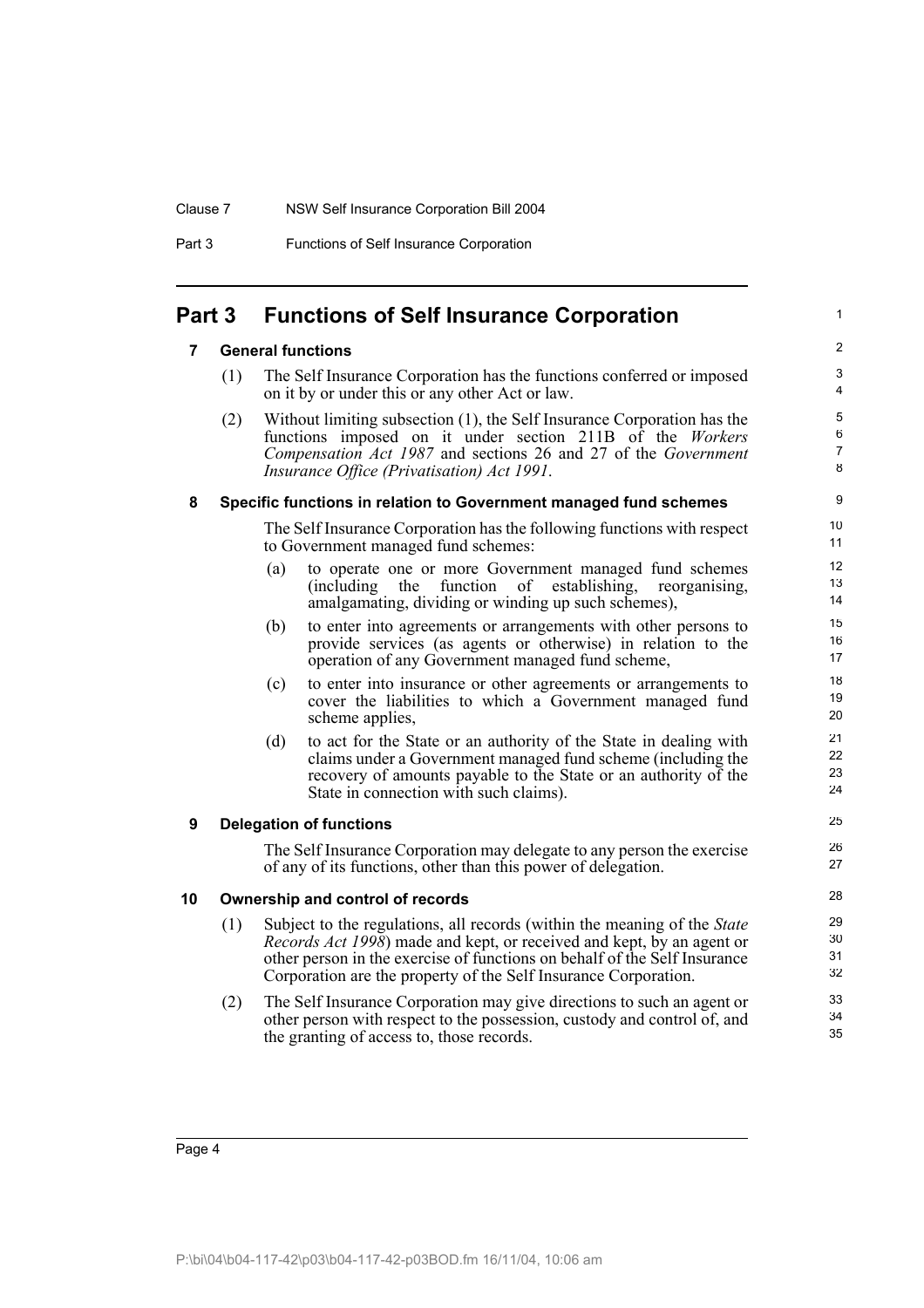#### Clause 7 NSW Self Insurance Corporation Bill 2004

Part 3 Functions of Self Insurance Corporation

## **Part 3 Functions of Self Insurance Corporation**

#### **7 General functions**

(1) The Self Insurance Corporation has the functions conferred or imposed on it by or under this or any other Act or law.

1

(2) Without limiting subsection (1), the Self Insurance Corporation has the functions imposed on it under section 211B of the *Workers Compensation Act 1987* and sections 26 and 27 of the *Government Insurance Office (Privatisation) Act 1991*.

#### **8 Specific functions in relation to Government managed fund schemes**

The Self Insurance Corporation has the following functions with respect to Government managed fund schemes:

- (a) to operate one or more Government managed fund schemes (including the function of establishing, reorganising, amalgamating, dividing or winding up such schemes),
- (b) to enter into agreements or arrangements with other persons to provide services (as agents or otherwise) in relation to the operation of any Government managed fund scheme,
- (c) to enter into insurance or other agreements or arrangements to cover the liabilities to which a Government managed fund scheme applies,
- (d) to act for the State or an authority of the State in dealing with claims under a Government managed fund scheme (including the recovery of amounts payable to the State or an authority of the State in connection with such claims).

#### **9 Delegation of functions**

The Self Insurance Corporation may delegate to any person the exercise of any of its functions, other than this power of delegation.

#### **10 Ownership and control of records**

- (1) Subject to the regulations, all records (within the meaning of the *State Records Act 1998*) made and kept, or received and kept, by an agent or other person in the exercise of functions on behalf of the Self Insurance Corporation are the property of the Self Insurance Corporation.
- (2) The Self Insurance Corporation may give directions to such an agent or other person with respect to the possession, custody and control of, and the granting of access to, those records.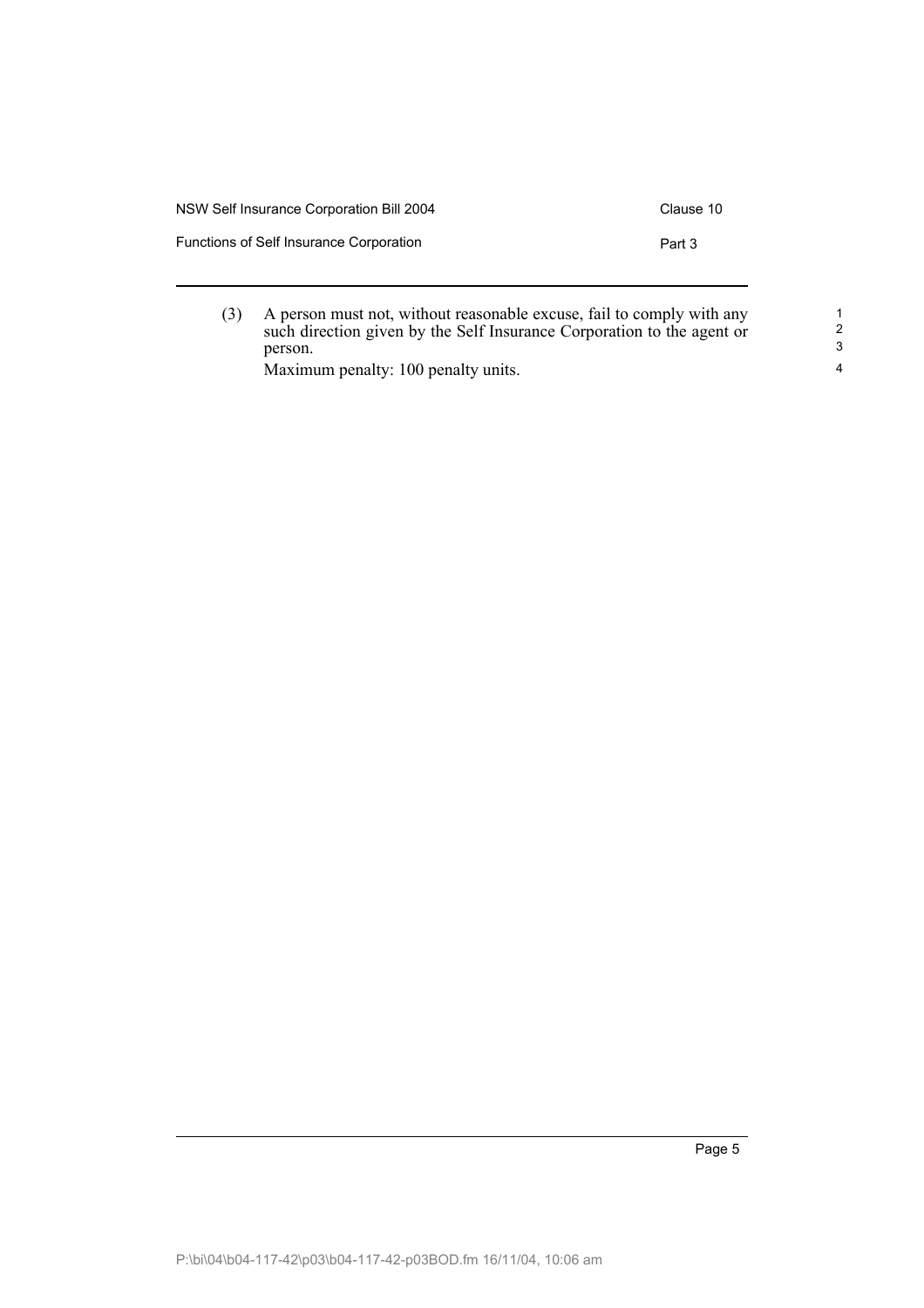| NSW Self Insurance Corporation Bill 2004 | Clause 10 |
|------------------------------------------|-----------|
| Functions of Self Insurance Corporation  | Part 3    |
|                                          |           |

(3) A person must not, without reasonable excuse, fail to comply with any such direction given by the Self Insurance Corporation to the agent or person.

Maximum penalty: 100 penalty units.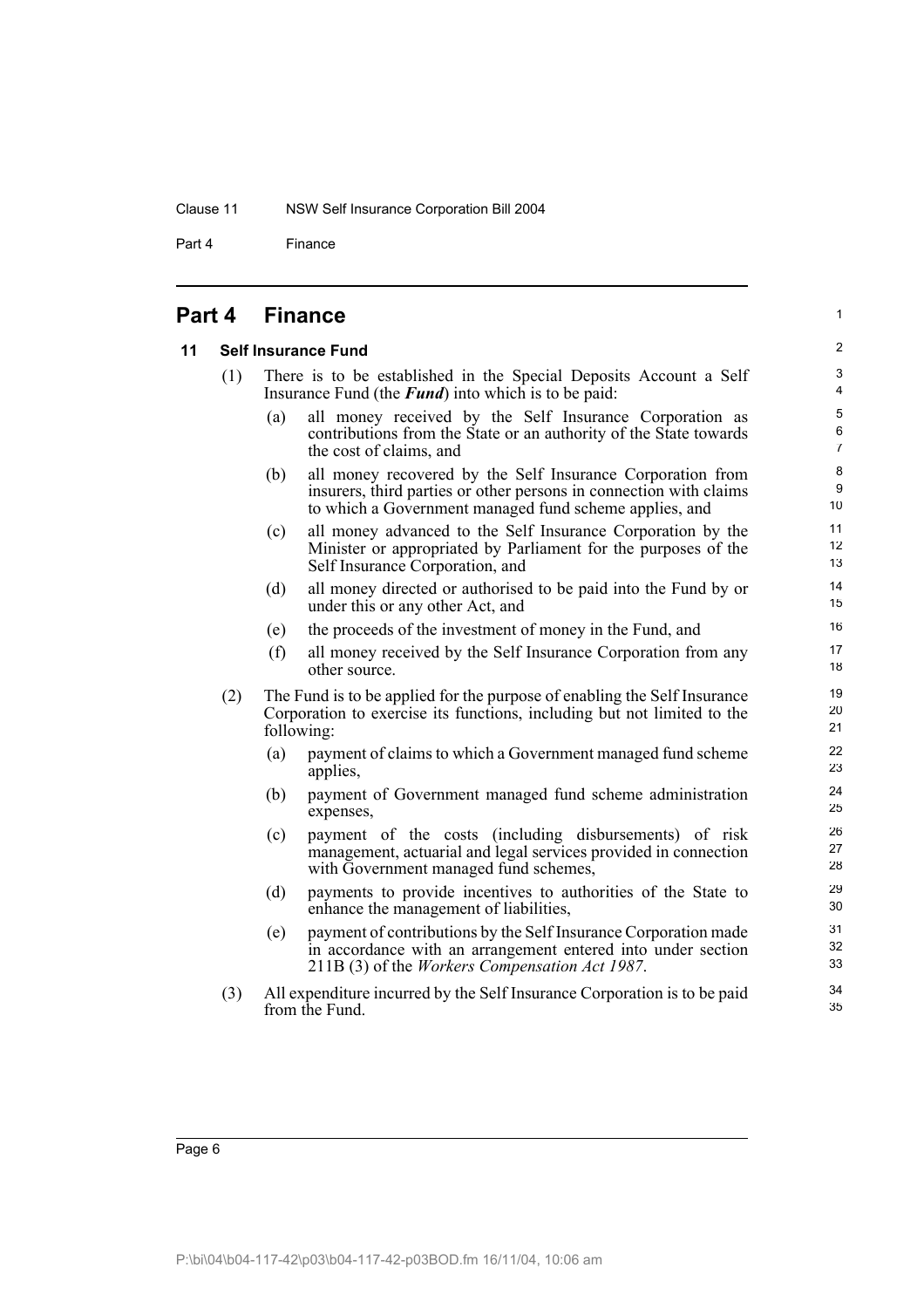#### Clause 11 NSW Self Insurance Corporation Bill 2004

Part 4 Finance

### **Part 4 Finance**

#### **11 Self Insurance Fund**

| (1) |  |                                                             |  |  | There is to be established in the Special Deposits Account a Self |  |
|-----|--|-------------------------------------------------------------|--|--|-------------------------------------------------------------------|--|
|     |  | Insurance Fund (the <b>Fund</b> ) into which is to be paid: |  |  |                                                                   |  |
|     |  |                                                             |  |  | (a) all money received by the Self Insurance Cornoration as       |  |

1

- (a) all money received by the Self Insurance Corporation as contributions from the State or an authority of the State towards the cost of claims, and
- (b) all money recovered by the Self Insurance Corporation from insurers, third parties or other persons in connection with claims to which a Government managed fund scheme applies, and
- (c) all money advanced to the Self Insurance Corporation by the Minister or appropriated by Parliament for the purposes of the Self Insurance Corporation, and
- (d) all money directed or authorised to be paid into the Fund by or under this or any other Act, and
- (e) the proceeds of the investment of money in the Fund, and
- (f) all money received by the Self Insurance Corporation from any other source.
- (2) The Fund is to be applied for the purpose of enabling the Self Insurance Corporation to exercise its functions, including but not limited to the following:
	- (a) payment of claims to which a Government managed fund scheme applies,
	- (b) payment of Government managed fund scheme administration expenses,
	- (c) payment of the costs (including disbursements) of risk management, actuarial and legal services provided in connection with Government managed fund schemes,
	- (d) payments to provide incentives to authorities of the State to enhance the management of liabilities,
	- (e) payment of contributions by the Self Insurance Corporation made in accordance with an arrangement entered into under section 211B (3) of the *Workers Compensation Act 1987*.
- (3) All expenditure incurred by the Self Insurance Corporation is to be paid from the Fund.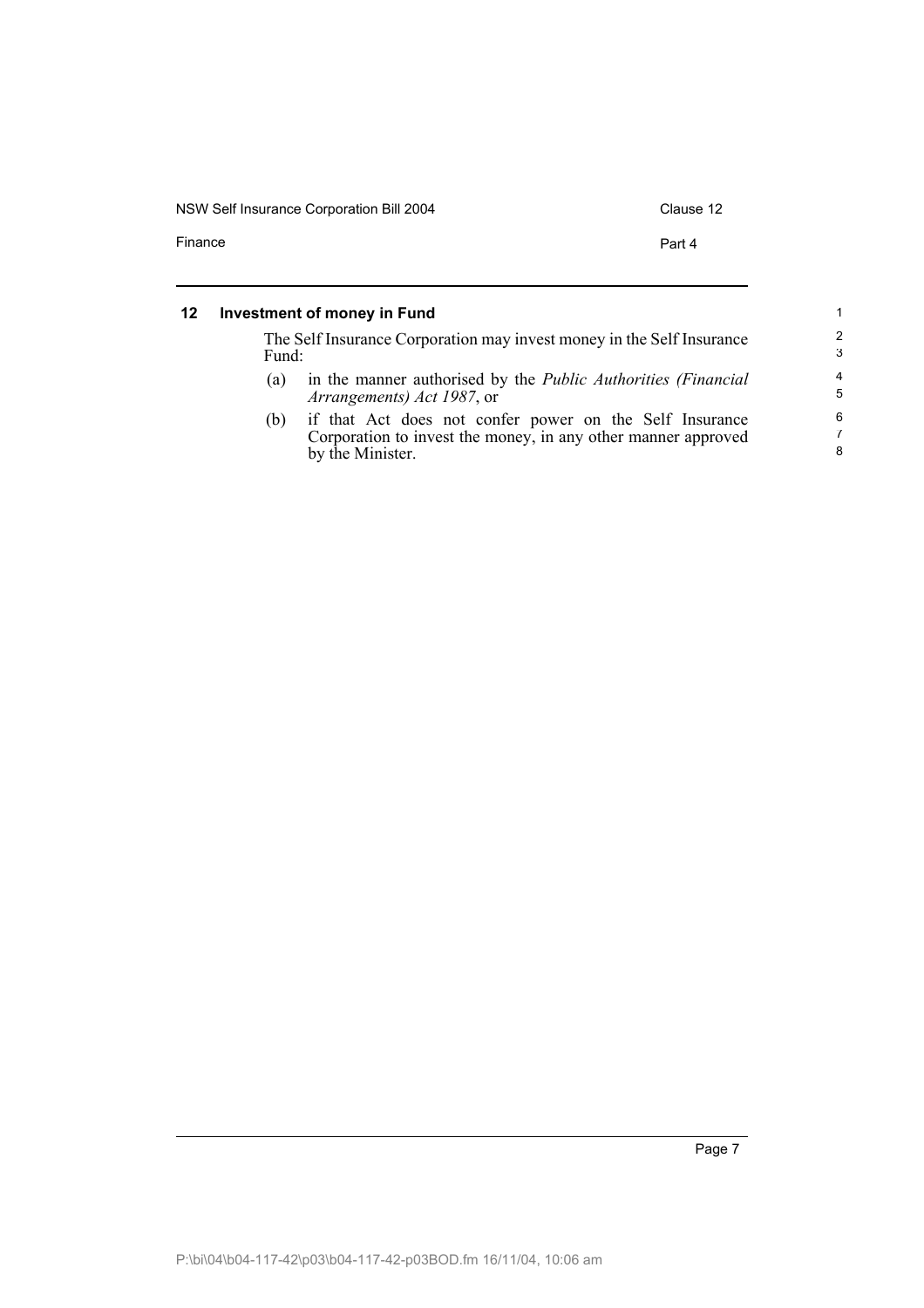| NSW Self Insurance Corporation Bill 2004 | Clause 12 |
|------------------------------------------|-----------|
| Finance                                  | Part 4    |
|                                          |           |

#### **12 Investment of money in Fund**

The Self Insurance Corporation may invest money in the Self Insurance Fund: (a) in the manner authorised by the *Public Authorities (Financial Arrangements) Act 1987*, or

(b) if that Act does not confer power on the Self Insurance Corporation to invest the money, in any other manner approved by the Minister.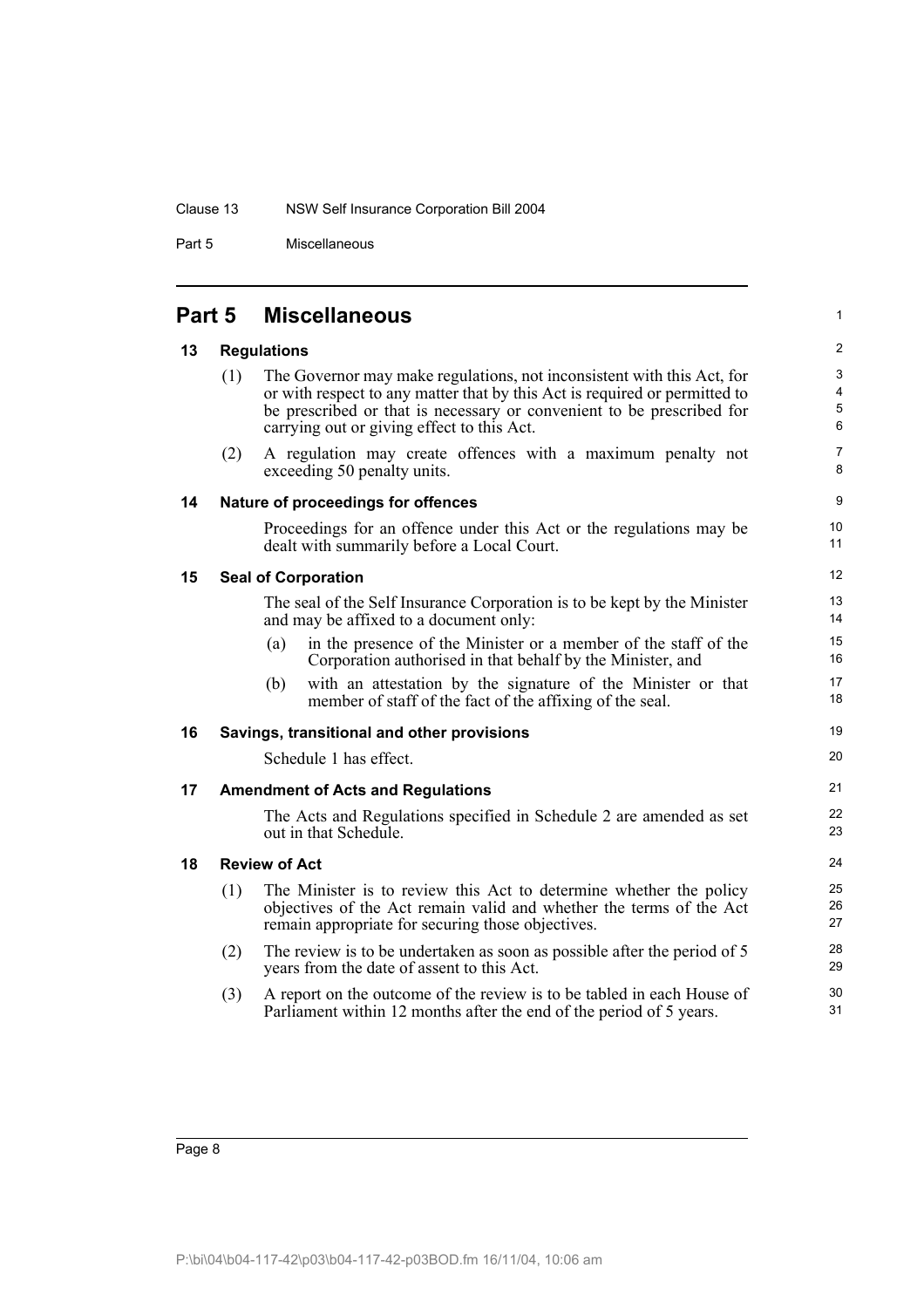#### Clause 13 NSW Self Insurance Corporation Bill 2004

Part 5 Miscellaneous

|    | Part 5 | <b>Miscellaneous</b>                                                                                                                                                                                                                                                        |
|----|--------|-----------------------------------------------------------------------------------------------------------------------------------------------------------------------------------------------------------------------------------------------------------------------------|
| 13 |        | <b>Regulations</b>                                                                                                                                                                                                                                                          |
|    | (1)    | The Governor may make regulations, not inconsistent with this Act, for<br>or with respect to any matter that by this Act is required or permitted to<br>be prescribed or that is necessary or convenient to be prescribed for<br>carrying out or giving effect to this Act. |
|    | (2)    | A regulation may create offences with a maximum penalty not<br>exceeding 50 penalty units.                                                                                                                                                                                  |
| 14 |        | Nature of proceedings for offences                                                                                                                                                                                                                                          |
|    |        | Proceedings for an offence under this Act or the regulations may be<br>dealt with summarily before a Local Court.                                                                                                                                                           |
| 15 |        | <b>Seal of Corporation</b>                                                                                                                                                                                                                                                  |
|    |        | The seal of the Self Insurance Corporation is to be kept by the Minister<br>and may be affixed to a document only:                                                                                                                                                          |
|    |        | in the presence of the Minister or a member of the staff of the<br>(a)<br>Corporation authorised in that behalf by the Minister, and                                                                                                                                        |
|    |        | with an attestation by the signature of the Minister or that<br>(b)<br>member of staff of the fact of the affixing of the seal.                                                                                                                                             |
| 16 |        | Savings, transitional and other provisions                                                                                                                                                                                                                                  |
|    |        | Schedule 1 has effect.                                                                                                                                                                                                                                                      |
| 17 |        | <b>Amendment of Acts and Regulations</b>                                                                                                                                                                                                                                    |
|    |        | The Acts and Regulations specified in Schedule 2 are amended as set<br>out in that Schedule.                                                                                                                                                                                |
| 18 |        | <b>Review of Act</b>                                                                                                                                                                                                                                                        |
|    | (1)    | The Minister is to review this Act to determine whether the policy<br>objectives of the Act remain valid and whether the terms of the Act<br>remain appropriate for securing those objectives.                                                                              |
|    | (2)    | The review is to be undertaken as soon as possible after the period of 5<br>years from the date of assent to this Act.                                                                                                                                                      |
|    | (3)    | A report on the outcome of the review is to be tabled in each House of<br>Parliament within 12 months after the end of the period of 5 years.                                                                                                                               |
|    |        |                                                                                                                                                                                                                                                                             |

1

21 22 23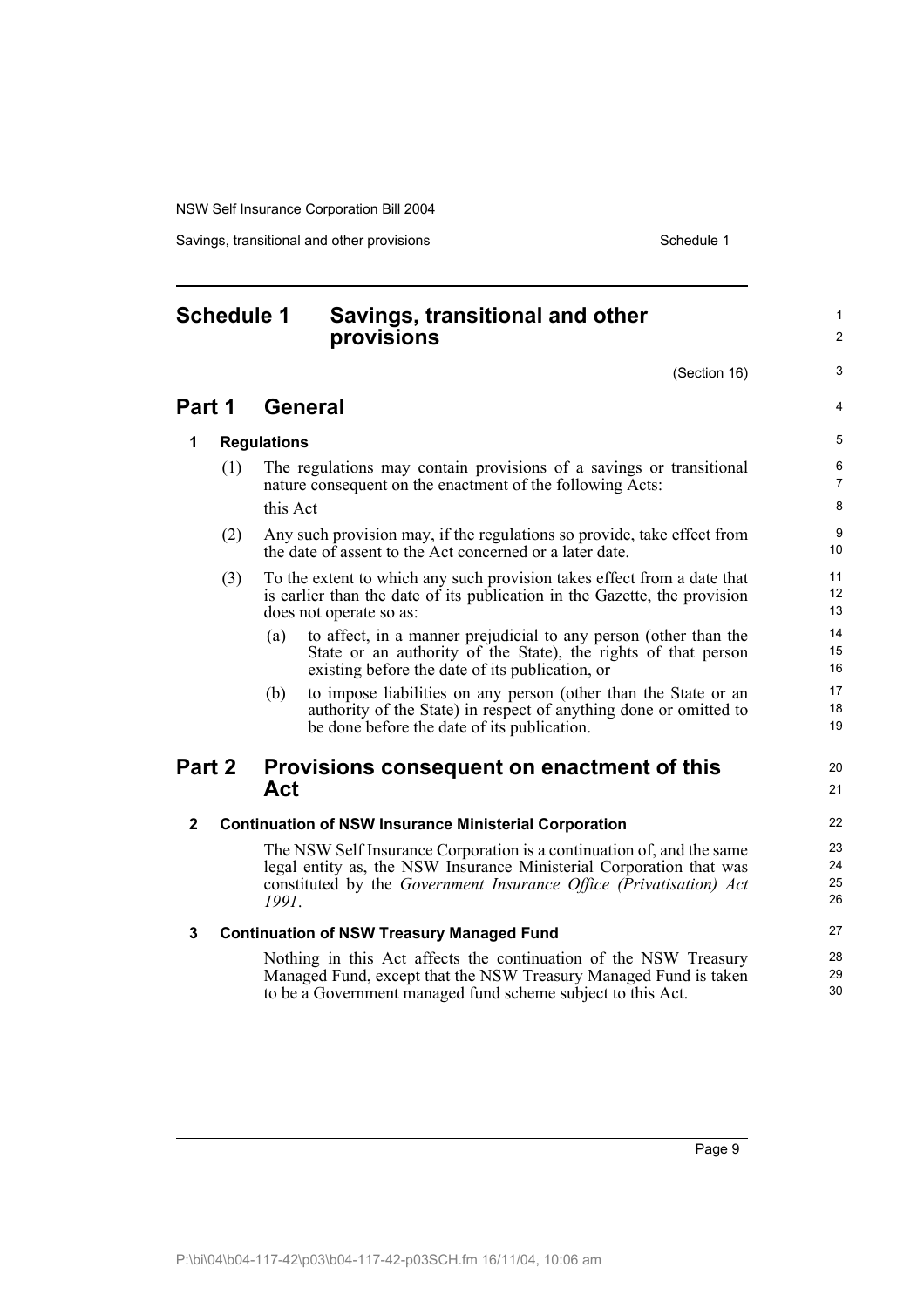Savings, transitional and other provisions Schedule 1 and Schedule 1

## **Schedule 1 Savings, transitional and other provisions**

(Section 16)

1  $\mathcal{L}$ 

3

 $\lambda$ 

20 21

## **Part 1 General**

**1 Regulations**

| (1) | The regulations may contain provisions of a savings or transitional<br>nature consequent on the enactment of the following Acts: |
|-----|----------------------------------------------------------------------------------------------------------------------------------|
|     | this Act                                                                                                                         |

- (2) Any such provision may, if the regulations so provide, take effect from the date of assent to the Act concerned or a later date.
- (3) To the extent to which any such provision takes effect from a date that is earlier than the date of its publication in the Gazette, the provision does not operate so as:
	- (a) to affect, in a manner prejudicial to any person (other than the State or an authority of the State), the rights of that person existing before the date of its publication, or
	- (b) to impose liabilities on any person (other than the State or an authority of the State) in respect of anything done or omitted to be done before the date of its publication.

### **Part 2 Provisions consequent on enactment of this Act**

#### **2 Continuation of NSW Insurance Ministerial Corporation**

The NSW Self Insurance Corporation is a continuation of, and the same legal entity as, the NSW Insurance Ministerial Corporation that was constituted by the *Government Insurance Office (Privatisation) Act 1991*.

#### **3 Continuation of NSW Treasury Managed Fund**

Nothing in this Act affects the continuation of the NSW Treasury Managed Fund, except that the NSW Treasury Managed Fund is taken to be a Government managed fund scheme subject to this Act.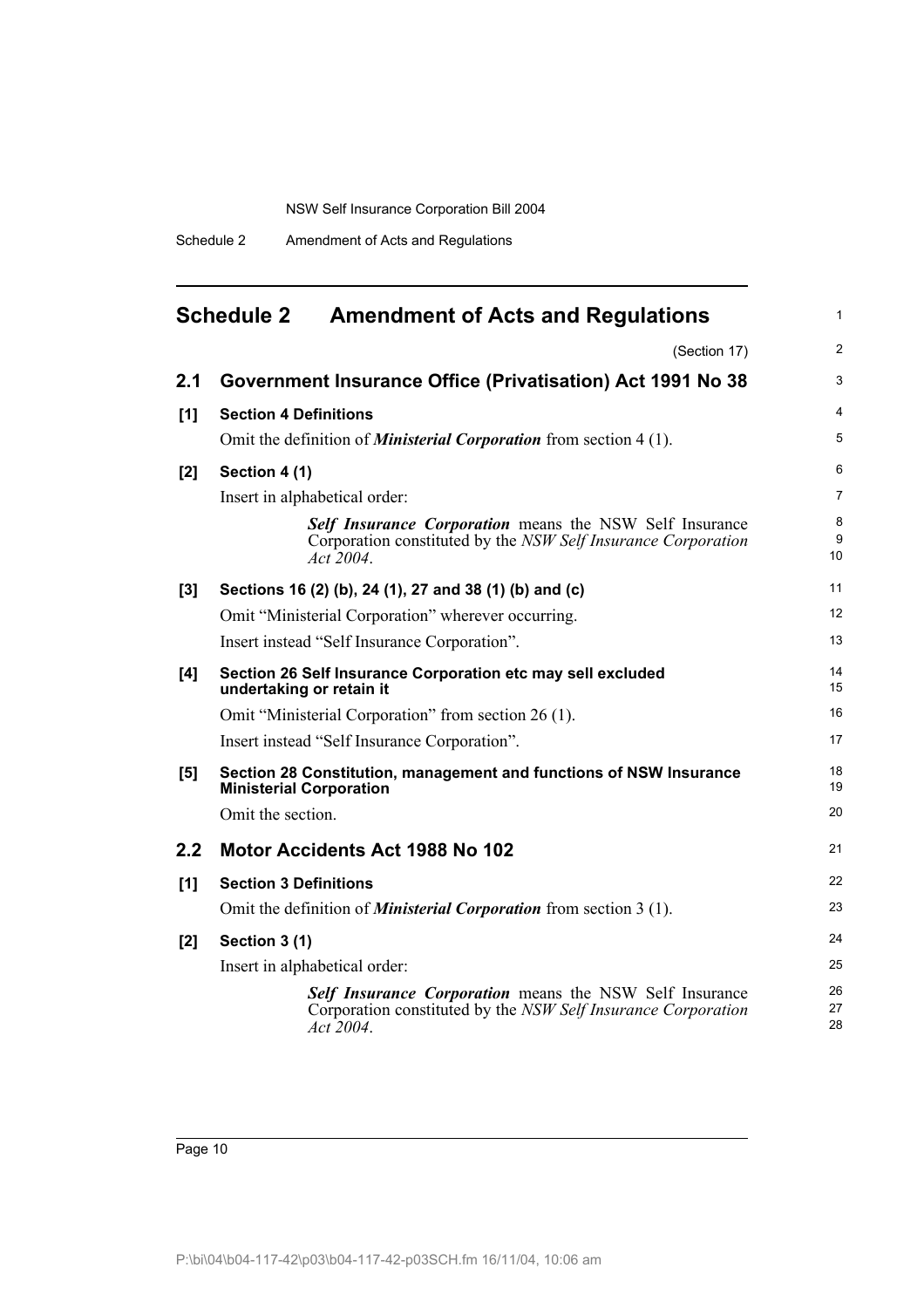Schedule 2 Amendment of Acts and Regulations

| <b>Schedule 2</b> | <b>Amendment of Acts and Regulations</b> |  |
|-------------------|------------------------------------------|--|
|-------------------|------------------------------------------|--|

(Section 17)

1

| 2.1   | Government Insurance Office (Privatisation) Act 1991 No 38                                                                                   | 3              |
|-------|----------------------------------------------------------------------------------------------------------------------------------------------|----------------|
| [1]   | <b>Section 4 Definitions</b>                                                                                                                 | 4              |
|       | Omit the definition of <b>Ministerial Corporation</b> from section 4 (1).                                                                    | 5              |
| $[2]$ | Section 4 (1)                                                                                                                                | 6              |
|       | Insert in alphabetical order:                                                                                                                | 7              |
|       | <b>Self Insurance Corporation</b> means the NSW Self Insurance<br>Corporation constituted by the NSW Self Insurance Corporation<br>Act 2004. | 8<br>9<br>10   |
| [3]   | Sections 16 (2) (b), 24 (1), 27 and 38 (1) (b) and (c)                                                                                       | 11             |
|       | Omit "Ministerial Corporation" wherever occurring.                                                                                           | 12             |
|       | Insert instead "Self Insurance Corporation".                                                                                                 | 13             |
| [4]   | Section 26 Self Insurance Corporation etc may sell excluded<br>undertaking or retain it                                                      | 14<br>15       |
|       | Omit "Ministerial Corporation" from section 26 (1).                                                                                          | 16             |
|       | Insert instead "Self Insurance Corporation".                                                                                                 | 17             |
| [5]   | Section 28 Constitution, management and functions of NSW Insurance<br><b>Ministerial Corporation</b>                                         | 18<br>19       |
|       | Omit the section.                                                                                                                            | 20             |
| 2.2   | <b>Motor Accidents Act 1988 No 102</b>                                                                                                       | 21             |
| [1]   | <b>Section 3 Definitions</b>                                                                                                                 | 22             |
|       | Omit the definition of <i>Ministerial Corporation</i> from section 3 (1).                                                                    | 23             |
| [2]   | Section 3 (1)                                                                                                                                | 24             |
|       | Insert in alphabetical order:                                                                                                                | 25             |
|       | Self Insurance Corporation means the NSW Self Insurance<br>Corporation constituted by the NSW Self Insurance Corporation<br>Act 2004.        | 26<br>27<br>28 |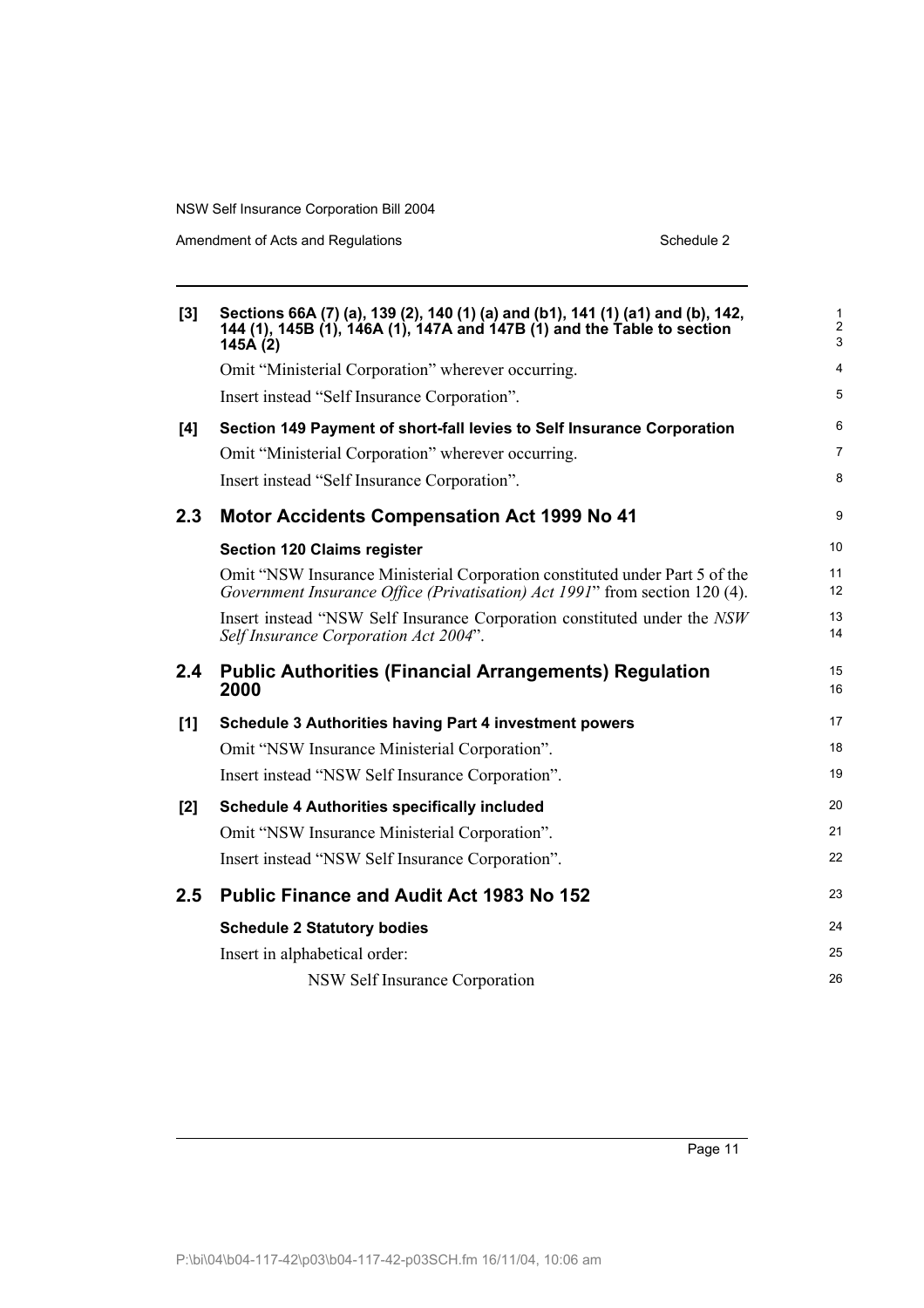| [3] | Sections 66A (7) (a), 139 (2), 140 (1) (a) and (b1), 141 (1) (a1) and (b), 142,<br>144 (1), 145B (1), 146A (1), 147A and 147B (1) and the Table to section<br>145A (2) | $\mathbf{1}$<br>$\overline{2}$<br>3 |
|-----|------------------------------------------------------------------------------------------------------------------------------------------------------------------------|-------------------------------------|
|     | Omit "Ministerial Corporation" wherever occurring.                                                                                                                     | $\overline{4}$                      |
|     | Insert instead "Self Insurance Corporation".                                                                                                                           | 5                                   |
| [4] | Section 149 Payment of short-fall levies to Self Insurance Corporation                                                                                                 | 6                                   |
|     | Omit "Ministerial Corporation" wherever occurring.                                                                                                                     | $\overline{7}$                      |
|     | Insert instead "Self Insurance Corporation".                                                                                                                           | 8                                   |
| 2.3 | <b>Motor Accidents Compensation Act 1999 No 41</b>                                                                                                                     | 9                                   |
|     | <b>Section 120 Claims register</b>                                                                                                                                     | 10 <sup>°</sup>                     |
|     | Omit "NSW Insurance Ministerial Corporation constituted under Part 5 of the<br>Government Insurance Office (Privatisation) Act 1991" from section 120 (4).             | 11<br>12 <sup>2</sup>               |
|     | Insert instead "NSW Self Insurance Corporation constituted under the NSW<br>Self Insurance Corporation Act 2004".                                                      | 13<br>14                            |
| 2.4 | <b>Public Authorities (Financial Arrangements) Regulation</b><br>2000                                                                                                  | 15<br>16                            |
|     |                                                                                                                                                                        |                                     |
| [1] | Schedule 3 Authorities having Part 4 investment powers                                                                                                                 | 17                                  |
|     | Omit "NSW Insurance Ministerial Corporation".                                                                                                                          | 18                                  |
|     | Insert instead "NSW Self Insurance Corporation".                                                                                                                       | 19                                  |
| [2] | <b>Schedule 4 Authorities specifically included</b>                                                                                                                    | 20                                  |
|     | Omit "NSW Insurance Ministerial Corporation".                                                                                                                          | 21                                  |
|     | Insert instead "NSW Self Insurance Corporation".                                                                                                                       | 22                                  |
| 2.5 | <b>Public Finance and Audit Act 1983 No 152</b>                                                                                                                        | 23                                  |
|     | <b>Schedule 2 Statutory bodies</b>                                                                                                                                     | 24                                  |
|     | Insert in alphabetical order:                                                                                                                                          | 25                                  |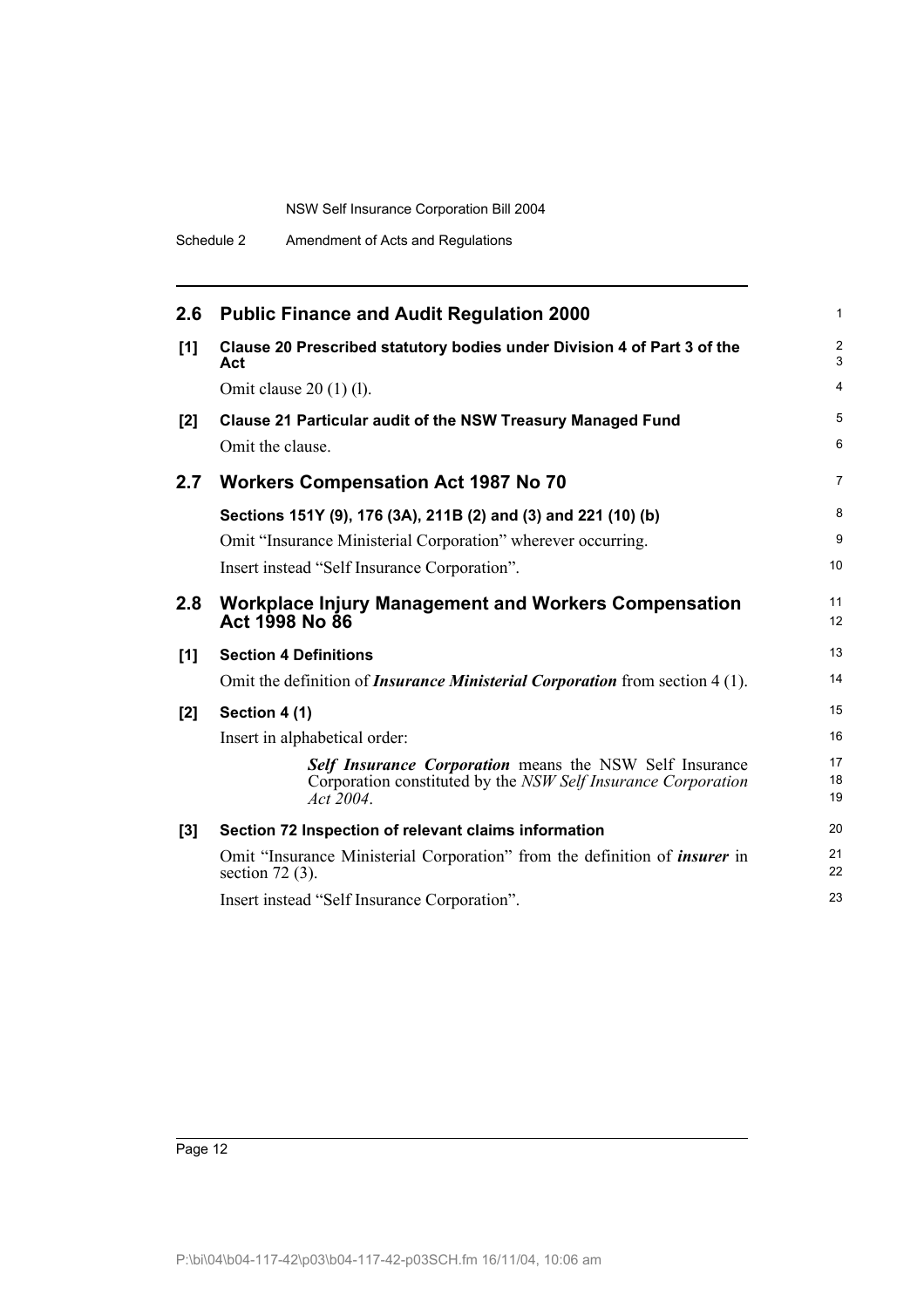| 2.6 | <b>Public Finance and Audit Regulation 2000</b>                                                                                       | 1                            |
|-----|---------------------------------------------------------------------------------------------------------------------------------------|------------------------------|
| [1] | Clause 20 Prescribed statutory bodies under Division 4 of Part 3 of the<br>Act                                                        | $\overline{\mathbf{c}}$<br>3 |
|     | Omit clause $20(1)(1)$ .                                                                                                              | 4                            |
| [2] | <b>Clause 21 Particular audit of the NSW Treasury Managed Fund</b>                                                                    | 5                            |
|     | Omit the clause.                                                                                                                      | 6                            |
| 2.7 | <b>Workers Compensation Act 1987 No 70</b>                                                                                            | $\overline{7}$               |
|     | Sections 151Y (9), 176 (3A), 211B (2) and (3) and 221 (10) (b)                                                                        | 8                            |
|     | Omit "Insurance Ministerial Corporation" wherever occurring.                                                                          | 9                            |
|     | Insert instead "Self Insurance Corporation".                                                                                          | 10                           |
| 2.8 | <b>Workplace Injury Management and Workers Compensation</b><br>Act 1998 No 86                                                         | 11<br>12                     |
| [1] | <b>Section 4 Definitions</b>                                                                                                          | 13                           |
|     | Omit the definition of <i>Insurance Ministerial Corporation</i> from section 4(1).                                                    | 14                           |
| [2] | Section 4 (1)                                                                                                                         | 15                           |
|     | Insert in alphabetical order:                                                                                                         | 16                           |
|     | Self Insurance Corporation means the NSW Self Insurance<br>Corporation constituted by the NSW Self Insurance Corporation<br>Act 2004. | 17<br>18<br>19               |
| [3] | Section 72 Inspection of relevant claims information                                                                                  | 20                           |
|     | Omit "Insurance Ministerial Corporation" from the definition of <i>insurer</i> in<br>section $72(3)$ .                                | 21<br>22                     |
|     | Insert instead "Self Insurance Corporation".                                                                                          | 23                           |